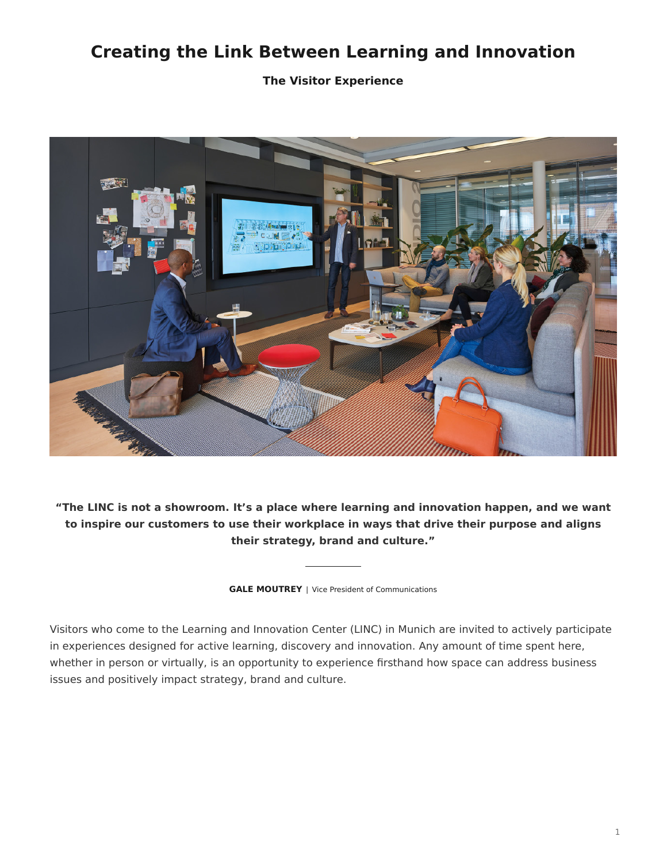# <span id="page-0-0"></span>**Creating the Link Between Learning and Innovation**

**The Visitor Experience**



**"The LINC is not a showroom. It's a place where learning and innovation happen, and we want to inspire our customers to use their workplace in ways that drive their purpose and aligns their strategy, brand and culture."**

**GALE MOUTREY** | Vice President of Communications

Visitors who come to the Learning and Innovation Center (LINC) in Munich are invited to actively participate in experiences designed for active learning, discovery and innovation. Any amount of time spent here, whether in person or virtually, is an opportunity to experience firsthand how space can address business issues and positively impact strategy, brand and culture.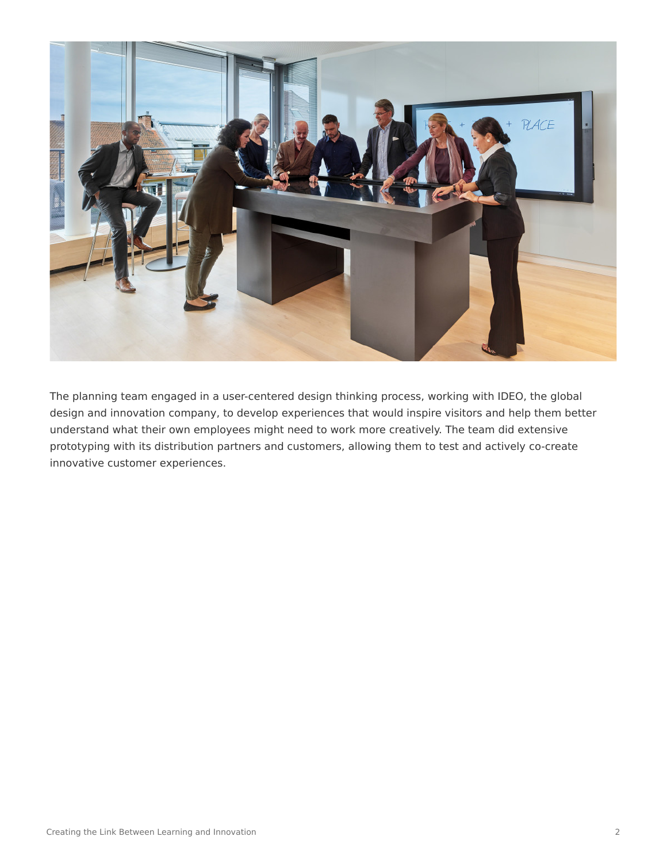

The planning team engaged in a user-centered design thinking process, working with IDEO, the global design and innovation company, to develop experiences that would inspire visitors and help them better understand what their own employees might need to work more creatively. The team did extensive prototyping with its distribution partners and customers, allowing them to test and actively co-create innovative customer experiences.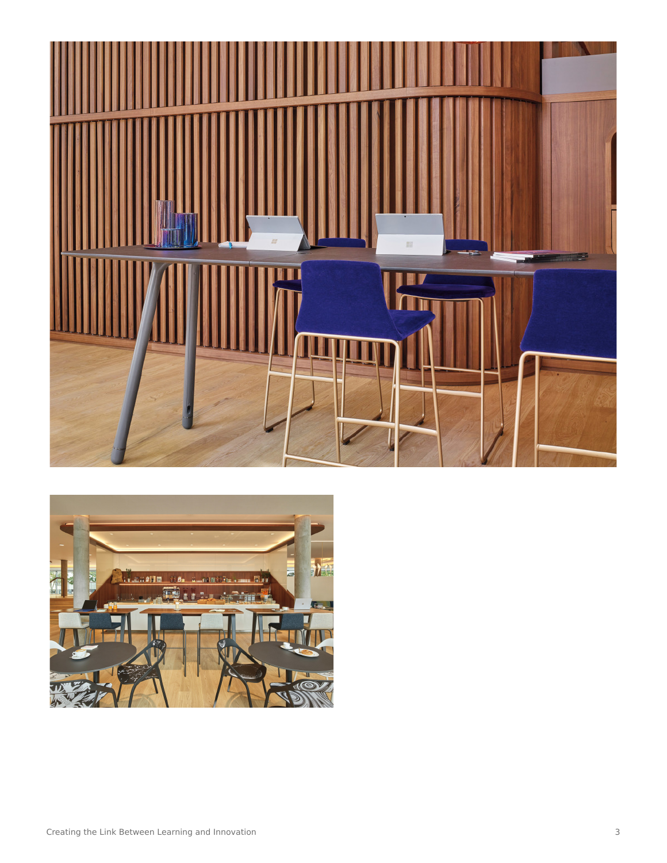